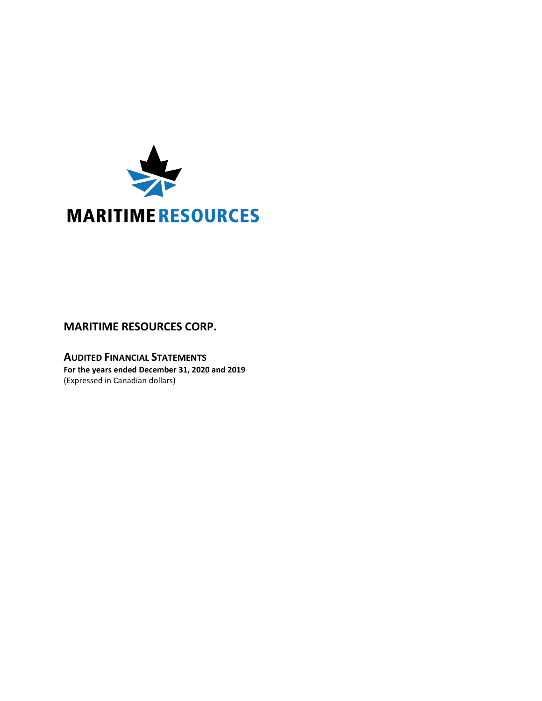

# **MARITIME RESOURCES CORP.**

**AUDITED FINANCIAL STATEMENTS For the years ended December 31, 2020 and 2019** (Expressed in Canadian dollars)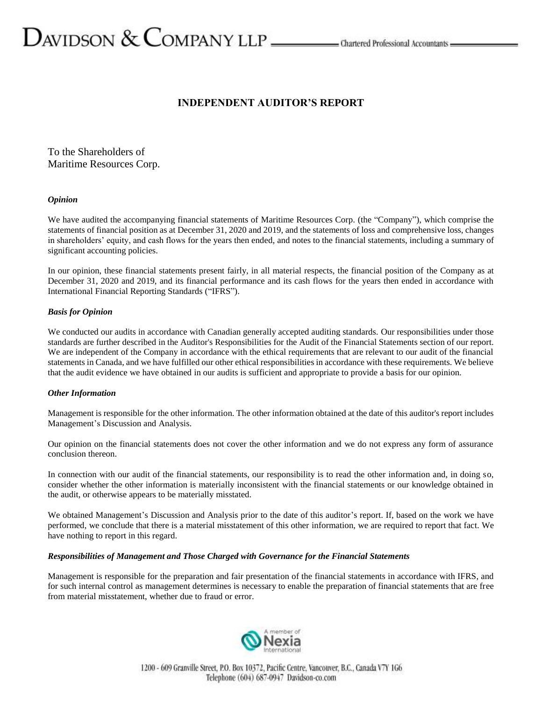# 

# **INDEPENDENT AUDITOR'S REPORT**

To the Shareholders of Maritime Resources Corp.

# *Opinion*

We have audited the accompanying financial statements of Maritime Resources Corp. (the "Company"), which comprise the statements of financial position as at December 31, 2020 and 2019, and the statements of loss and comprehensive loss, changes in shareholders' equity, and cash flows for the years then ended, and notes to the financial statements, including a summary of significant accounting policies.

In our opinion, these financial statements present fairly, in all material respects, the financial position of the Company as at December 31, 2020 and 2019, and its financial performance and its cash flows for the years then ended in accordance with International Financial Reporting Standards ("IFRS").

# *Basis for Opinion*

We conducted our audits in accordance with Canadian generally accepted auditing standards. Our responsibilities under those standards are further described in the Auditor's Responsibilities for the Audit of the Financial Statements section of our report. We are independent of the Company in accordance with the ethical requirements that are relevant to our audit of the financial statements in Canada, and we have fulfilled our other ethical responsibilities in accordance with these requirements. We believe that the audit evidence we have obtained in our audits is sufficient and appropriate to provide a basis for our opinion.

# *Other Information*

Management is responsible for the other information. The other information obtained at the date of this auditor's report includes Management's Discussion and Analysis.

Our opinion on the financial statements does not cover the other information and we do not express any form of assurance conclusion thereon.

In connection with our audit of the financial statements, our responsibility is to read the other information and, in doing so, consider whether the other information is materially inconsistent with the financial statements or our knowledge obtained in the audit, or otherwise appears to be materially misstated.

We obtained Management's Discussion and Analysis prior to the date of this auditor's report. If, based on the work we have performed, we conclude that there is a material misstatement of this other information, we are required to report that fact. We have nothing to report in this regard.

## *Responsibilities of Management and Those Charged with Governance for the Financial Statements*

Management is responsible for the preparation and fair presentation of the financial statements in accordance with IFRS, and for such internal control as management determines is necessary to enable the preparation of financial statements that are free from material misstatement, whether due to fraud or error.

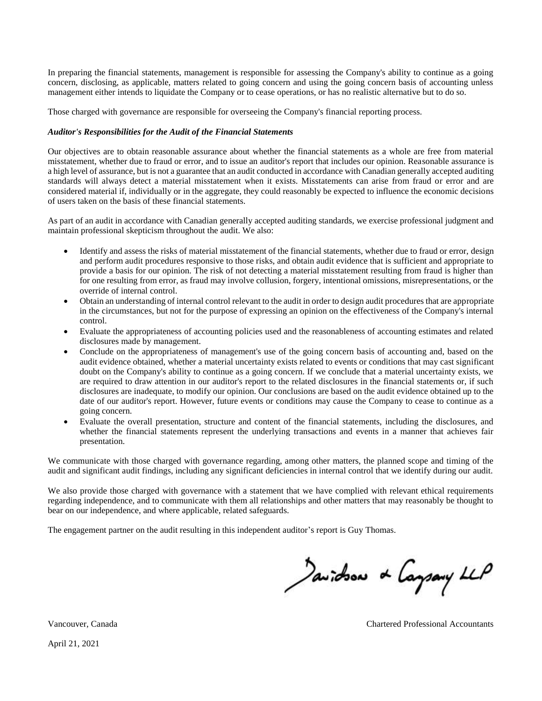In preparing the financial statements, management is responsible for assessing the Company's ability to continue as a going concern, disclosing, as applicable, matters related to going concern and using the going concern basis of accounting unless management either intends to liquidate the Company or to cease operations, or has no realistic alternative but to do so.

Those charged with governance are responsible for overseeing the Company's financial reporting process.

## *Auditor's Responsibilities for the Audit of the Financial Statements*

Our objectives are to obtain reasonable assurance about whether the financial statements as a whole are free from material misstatement, whether due to fraud or error, and to issue an auditor's report that includes our opinion. Reasonable assurance is a high level of assurance, but is not a guarantee that an audit conducted in accordance with Canadian generally accepted auditing standards will always detect a material misstatement when it exists. Misstatements can arise from fraud or error and are considered material if, individually or in the aggregate, they could reasonably be expected to influence the economic decisions of users taken on the basis of these financial statements.

As part of an audit in accordance with Canadian generally accepted auditing standards, we exercise professional judgment and maintain professional skepticism throughout the audit. We also:

- Identify and assess the risks of material misstatement of the financial statements, whether due to fraud or error, design and perform audit procedures responsive to those risks, and obtain audit evidence that is sufficient and appropriate to provide a basis for our opinion. The risk of not detecting a material misstatement resulting from fraud is higher than for one resulting from error, as fraud may involve collusion, forgery, intentional omissions, misrepresentations, or the override of internal control.
- Obtain an understanding of internal control relevant to the audit in order to design audit procedures that are appropriate in the circumstances, but not for the purpose of expressing an opinion on the effectiveness of the Company's internal control.
- Evaluate the appropriateness of accounting policies used and the reasonableness of accounting estimates and related disclosures made by management.
- Conclude on the appropriateness of management's use of the going concern basis of accounting and, based on the audit evidence obtained, whether a material uncertainty exists related to events or conditions that may cast significant doubt on the Company's ability to continue as a going concern. If we conclude that a material uncertainty exists, we are required to draw attention in our auditor's report to the related disclosures in the financial statements or, if such disclosures are inadequate, to modify our opinion. Our conclusions are based on the audit evidence obtained up to the date of our auditor's report. However, future events or conditions may cause the Company to cease to continue as a going concern.
- Evaluate the overall presentation, structure and content of the financial statements, including the disclosures, and whether the financial statements represent the underlying transactions and events in a manner that achieves fair presentation.

We communicate with those charged with governance regarding, among other matters, the planned scope and timing of the audit and significant audit findings, including any significant deficiencies in internal control that we identify during our audit.

We also provide those charged with governance with a statement that we have complied with relevant ethical requirements regarding independence, and to communicate with them all relationships and other matters that may reasonably be thought to bear on our independence, and where applicable, related safeguards.

The engagement partner on the audit resulting in this independent auditor's report is Guy Thomas.

Javidson & Caysary LLP

Vancouver, Canada Chartered Professional Accountants

April 21, 2021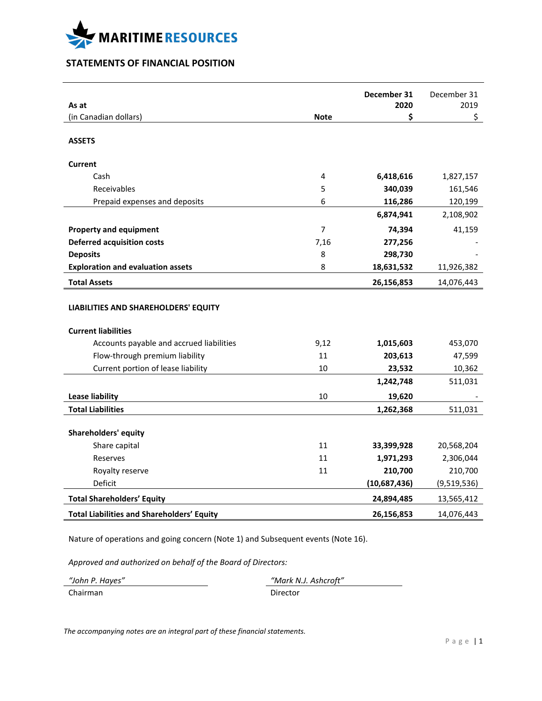

# **STATEMENTS OF FINANCIAL POSITION**

|                                                                    |                | December 31  | December 31 |
|--------------------------------------------------------------------|----------------|--------------|-------------|
| As at                                                              |                | 2020         | 2019        |
| (in Canadian dollars)                                              | <b>Note</b>    | \$           | \$          |
| <b>ASSETS</b>                                                      |                |              |             |
| <b>Current</b>                                                     |                |              |             |
| Cash                                                               | 4              | 6,418,616    | 1,827,157   |
| Receivables                                                        | 5              | 340,039      | 161,546     |
| Prepaid expenses and deposits                                      | 6              | 116,286      | 120,199     |
|                                                                    |                | 6,874,941    | 2,108,902   |
| <b>Property and equipment</b>                                      | $\overline{7}$ | 74,394       | 41,159      |
| <b>Deferred acquisition costs</b>                                  | 7,16           | 277,256      |             |
| <b>Deposits</b>                                                    | 8              | 298,730      |             |
| <b>Exploration and evaluation assets</b>                           | 8              | 18,631,532   | 11,926,382  |
| <b>Total Assets</b>                                                |                | 26,156,853   | 14,076,443  |
| LIABILITIES AND SHAREHOLDERS' EQUITY<br><b>Current liabilities</b> |                |              |             |
| Accounts payable and accrued liabilities                           | 9,12           | 1,015,603    | 453,070     |
| Flow-through premium liability                                     | 11             | 203,613      | 47,599      |
| Current portion of lease liability                                 | 10             | 23,532       | 10,362      |
|                                                                    |                | 1,242,748    | 511,031     |
| <b>Lease liability</b>                                             | 10             | 19,620       |             |
| <b>Total Liabilities</b>                                           |                | 1,262,368    | 511,031     |
| <b>Shareholders' equity</b>                                        |                |              |             |
| Share capital                                                      | 11             | 33,399,928   | 20,568,204  |
| Reserves                                                           | 11             | 1,971,293    | 2,306,044   |
| Royalty reserve                                                    | 11             | 210,700      | 210,700     |
| Deficit                                                            |                | (10,687,436) | (9,519,536) |
| <b>Total Shareholders' Equity</b>                                  |                | 24,894,485   | 13,565,412  |
| <b>Total Liabilities and Shareholders' Equity</b>                  |                | 26,156,853   | 14,076,443  |

Nature of operations and going concern (Note 1) and Subsequent events (Note 16).

*Approved and authorized on behalf of the Board of Directors:*

| "John P. Hayes" | "Mark N.J. Ashcroft" |
|-----------------|----------------------|
| Chairman        | Director             |

*The accompanying notes are an integral part of these financial statements.*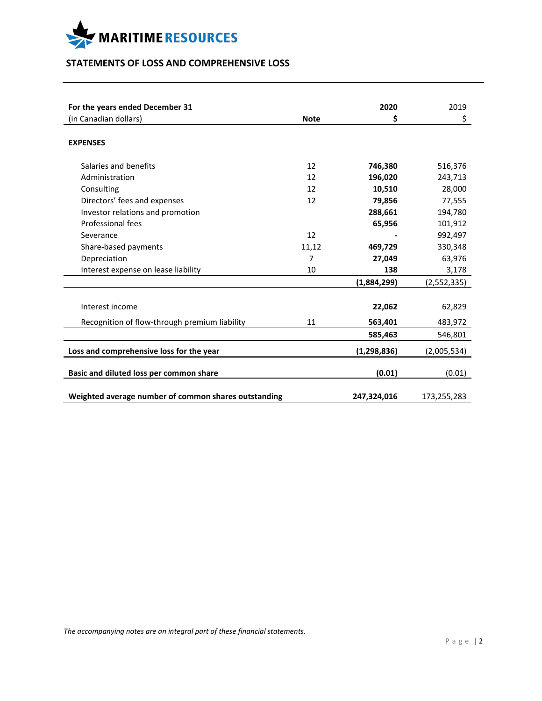

# **STATEMENTS OF LOSS AND COMPREHENSIVE LOSS**

| For the years ended December 31                      |             | 2020        | 2019        |
|------------------------------------------------------|-------------|-------------|-------------|
| (in Canadian dollars)                                | <b>Note</b> | \$          | \$          |
|                                                      |             |             |             |
| <b>EXPENSES</b>                                      |             |             |             |
|                                                      |             |             |             |
| Salaries and benefits                                | 12          | 746,380     | 516,376     |
| Administration                                       | 12          | 196,020     | 243,713     |
| Consulting                                           | 12          | 10,510      | 28,000      |
| Directors' fees and expenses                         | 12          | 79,856      | 77,555      |
| Investor relations and promotion                     |             | 288,661     | 194,780     |
| Professional fees                                    |             | 65,956      | 101,912     |
| Severance                                            | 12          |             | 992,497     |
| Share-based payments                                 | 11,12       | 469,729     | 330,348     |
| Depreciation                                         | 7           | 27,049      | 63,976      |
| Interest expense on lease liability                  | 10          | 138         | 3,178       |
|                                                      |             | (1,884,299) | (2,552,335) |
|                                                      |             |             |             |
| Interest income                                      |             | 22,062      | 62,829      |
| Recognition of flow-through premium liability        | 11          | 563,401     | 483,972     |
|                                                      |             | 585,463     | 546,801     |
| Loss and comprehensive loss for the year             |             | (1,298,836) | (2,005,534) |
| Basic and diluted loss per common share              |             | (0.01)      | (0.01)      |
|                                                      |             |             |             |
| Weighted average number of common shares outstanding |             | 247,324,016 | 173,255,283 |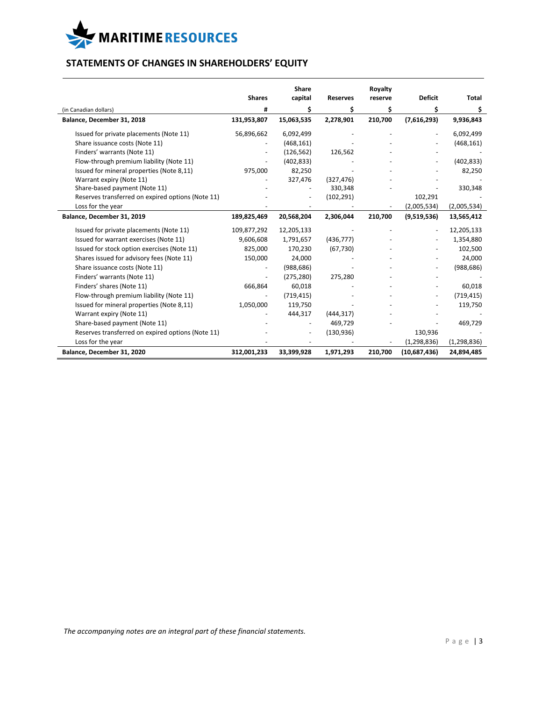

# **STATEMENTS OF CHANGES IN SHAREHOLDERS' EQUITY**

|                                                   |               | Share      |                 | Royalty |                |               |
|---------------------------------------------------|---------------|------------|-----------------|---------|----------------|---------------|
|                                                   | <b>Shares</b> | capital    | <b>Reserves</b> | reserve | <b>Deficit</b> | <b>Total</b>  |
| (in Canadian dollars)                             | #             | Ś.         | \$              | \$      | \$             | \$.           |
| Balance, December 31, 2018                        | 131,953,807   | 15,063,535 | 2,278,901       | 210,700 | (7,616,293)    | 9,936,843     |
| Issued for private placements (Note 11)           | 56,896,662    | 6,092,499  |                 |         |                | 6,092,499     |
| Share issuance costs (Note 11)                    |               | (468, 161) |                 |         |                | (468, 161)    |
| Finders' warrants (Note 11)                       |               | (126, 562) | 126,562         |         |                |               |
| Flow-through premium liability (Note 11)          |               | (402, 833) |                 |         |                | (402, 833)    |
| Issued for mineral properties (Note 8,11)         | 975,000       | 82,250     |                 |         |                | 82,250        |
| Warrant expiry (Note 11)                          |               | 327,476    | (327, 476)      |         |                |               |
| Share-based payment (Note 11)                     |               |            | 330,348         |         |                | 330,348       |
| Reserves transferred on expired options (Note 11) |               |            | (102, 291)      |         | 102,291        |               |
| Loss for the year                                 |               |            |                 |         | (2,005,534)    | (2,005,534)   |
| Balance, December 31, 2019                        | 189,825,469   | 20,568,204 | 2,306,044       | 210,700 | (9,519,536)    | 13,565,412    |
| Issued for private placements (Note 11)           | 109,877,292   | 12,205,133 |                 |         |                | 12,205,133    |
| Issued for warrant exercises (Note 11)            | 9,606,608     | 1,791,657  | (436, 777)      |         |                | 1,354,880     |
| Issued for stock option exercises (Note 11)       | 825,000       | 170,230    | (67, 730)       |         |                | 102,500       |
| Shares issued for advisory fees (Note 11)         | 150,000       | 24,000     |                 |         |                | 24,000        |
| Share issuance costs (Note 11)                    |               | (988, 686) |                 |         |                | (988, 686)    |
| Finders' warrants (Note 11)                       |               | (275, 280) | 275,280         |         |                |               |
| Finders' shares (Note 11)                         | 666,864       | 60,018     |                 |         |                | 60,018        |
| Flow-through premium liability (Note 11)          |               | (719, 415) |                 |         |                | (719, 415)    |
| Issued for mineral properties (Note 8,11)         | 1,050,000     | 119,750    |                 |         |                | 119,750       |
| Warrant expiry (Note 11)                          |               | 444,317    | (444, 317)      |         |                |               |
| Share-based payment (Note 11)                     |               |            | 469,729         |         |                | 469,729       |
| Reserves transferred on expired options (Note 11) |               |            | (130, 936)      |         | 130,936        |               |
| Loss for the year                                 |               |            |                 |         | (1, 298, 836)  | (1, 298, 836) |
| Balance, December 31, 2020                        | 312,001,233   | 33,399,928 | 1,971,293       | 210,700 | (10,687,436)   | 24,894,485    |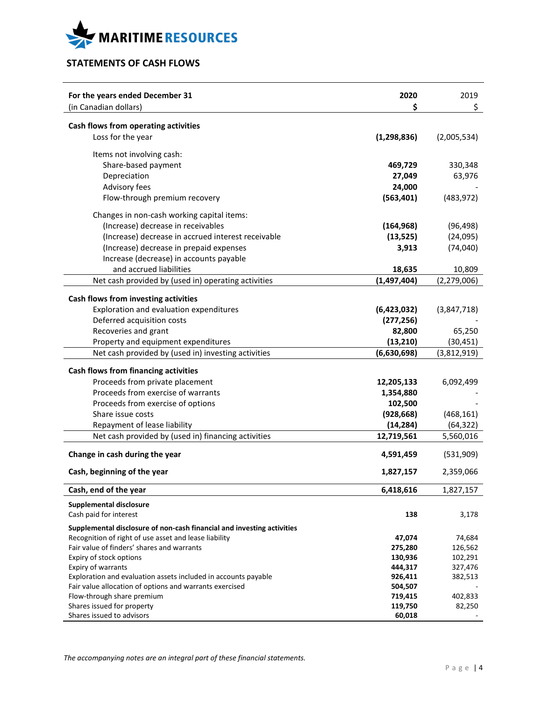

# **STATEMENTS OF CASH FLOWS**

| For the years ended December 31<br>(in Canadian dollars)                                                                  | 2020<br>\$         | 2019<br>\$    |
|---------------------------------------------------------------------------------------------------------------------------|--------------------|---------------|
| Cash flows from operating activities                                                                                      |                    |               |
| Loss for the year                                                                                                         | (1, 298, 836)      | (2,005,534)   |
|                                                                                                                           |                    |               |
| Items not involving cash:                                                                                                 |                    |               |
| Share-based payment                                                                                                       | 469,729            | 330,348       |
| Depreciation                                                                                                              | 27,049             | 63,976        |
| Advisory fees                                                                                                             | 24,000             |               |
| Flow-through premium recovery                                                                                             | (563, 401)         | (483, 972)    |
| Changes in non-cash working capital items:                                                                                |                    |               |
| (Increase) decrease in receivables                                                                                        | (164, 968)         | (96, 498)     |
| (Increase) decrease in accrued interest receivable                                                                        | (13, 525)          | (24,095)      |
| (Increase) decrease in prepaid expenses                                                                                   | 3,913              | (74, 040)     |
| Increase (decrease) in accounts payable                                                                                   |                    |               |
| and accrued liabilities                                                                                                   | 18,635             | 10,809        |
| Net cash provided by (used in) operating activities                                                                       | (1,497,404)        | (2, 279, 006) |
|                                                                                                                           |                    |               |
| Cash flows from investing activities                                                                                      |                    |               |
| Exploration and evaluation expenditures                                                                                   | (6,423,032)        | (3,847,718)   |
| Deferred acquisition costs                                                                                                | (277, 256)         |               |
| Recoveries and grant                                                                                                      | 82,800             | 65,250        |
| Property and equipment expenditures<br>Net cash provided by (used in) investing activities                                | (13, 210)          | (30, 451)     |
|                                                                                                                           | (6,630,698)        | (3,812,919)   |
| Cash flows from financing activities                                                                                      |                    |               |
| Proceeds from private placement                                                                                           | 12,205,133         | 6,092,499     |
| Proceeds from exercise of warrants                                                                                        | 1,354,880          |               |
| Proceeds from exercise of options                                                                                         | 102,500            |               |
| Share issue costs                                                                                                         | (928, 668)         | (468, 161)    |
| Repayment of lease liability                                                                                              | (14, 284)          | (64, 322)     |
| Net cash provided by (used in) financing activities                                                                       | 12,719,561         | 5,560,016     |
| Change in cash during the year                                                                                            | 4,591,459          | (531,909)     |
| Cash, beginning of the year                                                                                               | 1,827,157          | 2,359,066     |
| Cash, end of the year                                                                                                     | 6,418,616          | 1,827,157     |
| <b>Supplemental disclosure</b>                                                                                            |                    |               |
| Cash paid for interest                                                                                                    | 138                | 3,178         |
| Supplemental disclosure of non-cash financial and investing activities                                                    |                    |               |
| Recognition of right of use asset and lease liability                                                                     | 47,074             | 74,684        |
| Fair value of finders' shares and warrants                                                                                | 275,280            | 126,562       |
| Expiry of stock options                                                                                                   | 130,936            | 102,291       |
| Expiry of warrants                                                                                                        | 444,317            | 327,476       |
| Exploration and evaluation assets included in accounts payable<br>Fair value allocation of options and warrants exercised | 926,411<br>504,507 | 382,513       |
| Flow-through share premium                                                                                                | 719,415            | 402,833       |
| Shares issued for property                                                                                                | 119,750            | 82,250        |
| Shares issued to advisors                                                                                                 | 60,018             |               |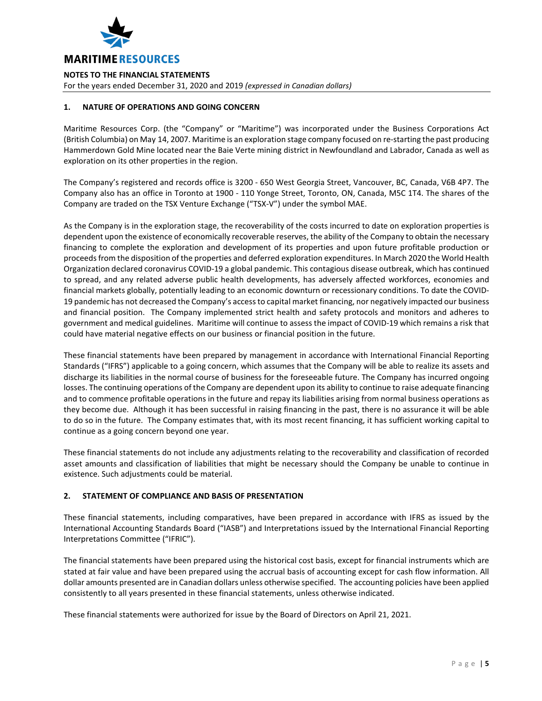

**NOTES TO THE FINANCIAL STATEMENTS** For the years ended December 31, 2020 and 2019 *(expressed in Canadian dollars)*

# **1. NATURE OF OPERATIONS AND GOING CONCERN**

Maritime Resources Corp. (the "Company" or "Maritime") was incorporated under the Business Corporations Act (British Columbia) on May 14, 2007. Maritime is an exploration stage company focused on re-starting the past producing Hammerdown Gold Mine located near the Baie Verte mining district in Newfoundland and Labrador, Canada as well as exploration on its other properties in the region.

The Company's registered and records office is 3200 - 650 West Georgia Street, Vancouver, BC, Canada, V6B 4P7. The Company also has an office in Toronto at 1900 - 110 Yonge Street, Toronto, ON, Canada, M5C 1T4. The shares of the Company are traded on the TSX Venture Exchange ("TSX-V") under the symbol MAE.

As the Company is in the exploration stage, the recoverability of the costs incurred to date on exploration properties is dependent upon the existence of economically recoverable reserves, the ability of the Company to obtain the necessary financing to complete the exploration and development of its properties and upon future profitable production or proceeds from the disposition of the properties and deferred exploration expenditures. In March 2020 the World Health Organization declared coronavirus COVID-19 a global pandemic. This contagious disease outbreak, which has continued to spread, and any related adverse public health developments, has adversely affected workforces, economies and financial markets globally, potentially leading to an economic downturn or recessionary conditions. To date the COVID-19 pandemic has not decreased the Company's access to capital market financing, nor negatively impacted our business and financial position. The Company implemented strict health and safety protocols and monitors and adheres to government and medical guidelines. Maritime will continue to assess the impact of COVID-19 which remains a risk that could have material negative effects on our business or financial position in the future.

These financial statements have been prepared by management in accordance with International Financial Reporting Standards ("IFRS") applicable to a going concern, which assumes that the Company will be able to realize its assets and discharge its liabilities in the normal course of business for the foreseeable future. The Company has incurred ongoing losses. The continuing operations of the Company are dependent upon its ability to continue to raise adequate financing and to commence profitable operations in the future and repay its liabilities arising from normal business operations as they become due. Although it has been successful in raising financing in the past, there is no assurance it will be able to do so in the future. The Company estimates that, with its most recent financing, it has sufficient working capital to continue as a going concern beyond one year.

These financial statements do not include any adjustments relating to the recoverability and classification of recorded asset amounts and classification of liabilities that might be necessary should the Company be unable to continue in existence. Such adjustments could be material.

# **2. STATEMENT OF COMPLIANCE AND BASIS OF PRESENTATION**

These financial statements, including comparatives, have been prepared in accordance with IFRS as issued by the International Accounting Standards Board ("IASB") and Interpretations issued by the International Financial Reporting Interpretations Committee ("IFRIC").

The financial statements have been prepared using the historical cost basis, except for financial instruments which are stated at fair value and have been prepared using the accrual basis of accounting except for cash flow information. All dollar amounts presented are in Canadian dollars unless otherwise specified. The accounting policies have been applied consistently to all years presented in these financial statements, unless otherwise indicated.

These financial statements were authorized for issue by the Board of Directors on April 21, 2021.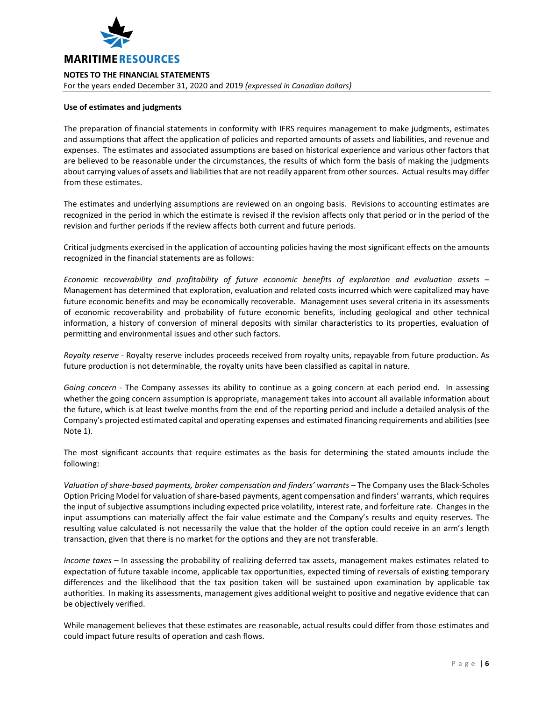

For the years ended December 31, 2020 and 2019 *(expressed in Canadian dollars)*

# **Use of estimates and judgments**

The preparation of financial statements in conformity with IFRS requires management to make judgments, estimates and assumptions that affect the application of policies and reported amounts of assets and liabilities, and revenue and expenses. The estimates and associated assumptions are based on historical experience and various other factors that are believed to be reasonable under the circumstances, the results of which form the basis of making the judgments about carrying values of assets and liabilities that are not readily apparent from other sources. Actual results may differ from these estimates.

The estimates and underlying assumptions are reviewed on an ongoing basis. Revisions to accounting estimates are recognized in the period in which the estimate is revised if the revision affects only that period or in the period of the revision and further periods if the review affects both current and future periods.

Critical judgments exercised in the application of accounting policies having the most significant effects on the amounts recognized in the financial statements are as follows:

*Economic recoverability and profitability of future economic benefits of exploration and evaluation assets* – Management has determined that exploration, evaluation and related costs incurred which were capitalized may have future economic benefits and may be economically recoverable. Management uses several criteria in its assessments of economic recoverability and probability of future economic benefits, including geological and other technical information, a history of conversion of mineral deposits with similar characteristics to its properties, evaluation of permitting and environmental issues and other such factors.

*Royalty reserve* - Royalty reserve includes proceeds received from royalty units, repayable from future production. As future production is not determinable, the royalty units have been classified as capital in nature.

*Going concern* - The Company assesses its ability to continue as a going concern at each period end. In assessing whether the going concern assumption is appropriate, management takes into account all available information about the future, which is at least twelve months from the end of the reporting period and include a detailed analysis of the Company's projected estimated capital and operating expenses and estimated financing requirements and abilities (see Note 1).

The most significant accounts that require estimates as the basis for determining the stated amounts include the following:

*Valuation of share-based payments, broker compensation and finders' warrants* – The Company uses the Black-Scholes Option Pricing Model for valuation of share-based payments, agent compensation and finders' warrants, which requires the input of subjective assumptions including expected price volatility, interest rate, and forfeiture rate. Changes in the input assumptions can materially affect the fair value estimate and the Company's results and equity reserves. The resulting value calculated is not necessarily the value that the holder of the option could receive in an arm's length transaction, given that there is no market for the options and they are not transferable.

*Income taxes* – In assessing the probability of realizing deferred tax assets, management makes estimates related to expectation of future taxable income, applicable tax opportunities, expected timing of reversals of existing temporary differences and the likelihood that the tax position taken will be sustained upon examination by applicable tax authorities. In making its assessments, management gives additional weight to positive and negative evidence that can be objectively verified.

While management believes that these estimates are reasonable, actual results could differ from those estimates and could impact future results of operation and cash flows.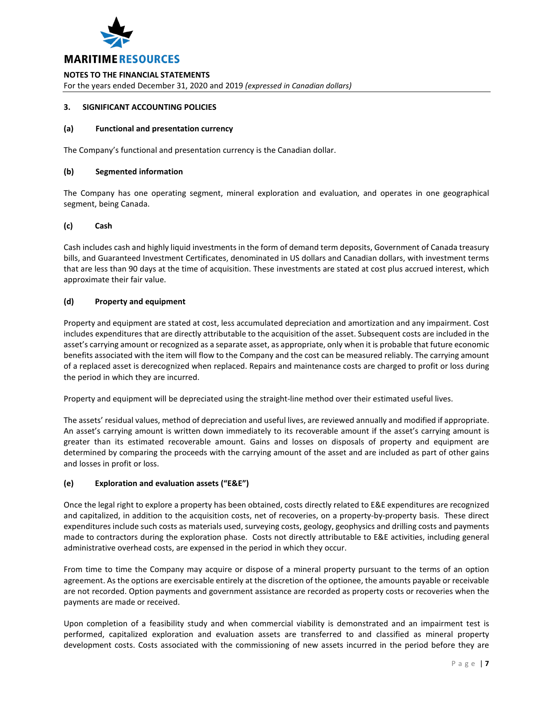

For the years ended December 31, 2020 and 2019 *(expressed in Canadian dollars)*

# **3. SIGNIFICANT ACCOUNTING POLICIES**

#### **(a) Functional and presentation currency**

The Company's functional and presentation currency is the Canadian dollar.

#### **(b) Segmented information**

The Company has one operating segment, mineral exploration and evaluation, and operates in one geographical segment, being Canada.

#### **(c) Cash**

Cash includes cash and highly liquid investments in the form of demand term deposits, Government of Canada treasury bills, and Guaranteed Investment Certificates, denominated in US dollars and Canadian dollars, with investment terms that are less than 90 days at the time of acquisition. These investments are stated at cost plus accrued interest, which approximate their fair value.

#### **(d) Property and equipment**

Property and equipment are stated at cost, less accumulated depreciation and amortization and any impairment. Cost includes expenditures that are directly attributable to the acquisition of the asset. Subsequent costs are included in the asset's carrying amount or recognized as a separate asset, as appropriate, only when it is probable that future economic benefits associated with the item will flow to the Company and the cost can be measured reliably. The carrying amount of a replaced asset is derecognized when replaced. Repairs and maintenance costs are charged to profit or loss during the period in which they are incurred.

Property and equipment will be depreciated using the straight-line method over their estimated useful lives.

The assets' residual values, method of depreciation and useful lives, are reviewed annually and modified if appropriate. An asset's carrying amount is written down immediately to its recoverable amount if the asset's carrying amount is greater than its estimated recoverable amount. Gains and losses on disposals of property and equipment are determined by comparing the proceeds with the carrying amount of the asset and are included as part of other gains and losses in profit or loss.

#### **(e) Exploration and evaluation assets ("E&E")**

Once the legal right to explore a property has been obtained, costs directly related to E&E expenditures are recognized and capitalized, in addition to the acquisition costs, net of recoveries, on a property-by-property basis. These direct expenditures include such costs as materials used, surveying costs, geology, geophysics and drilling costs and payments made to contractors during the exploration phase. Costs not directly attributable to E&E activities, including general administrative overhead costs, are expensed in the period in which they occur.

From time to time the Company may acquire or dispose of a mineral property pursuant to the terms of an option agreement. As the options are exercisable entirely at the discretion of the optionee, the amounts payable or receivable are not recorded. Option payments and government assistance are recorded as property costs or recoveries when the payments are made or received.

Upon completion of a feasibility study and when commercial viability is demonstrated and an impairment test is performed, capitalized exploration and evaluation assets are transferred to and classified as mineral property development costs. Costs associated with the commissioning of new assets incurred in the period before they are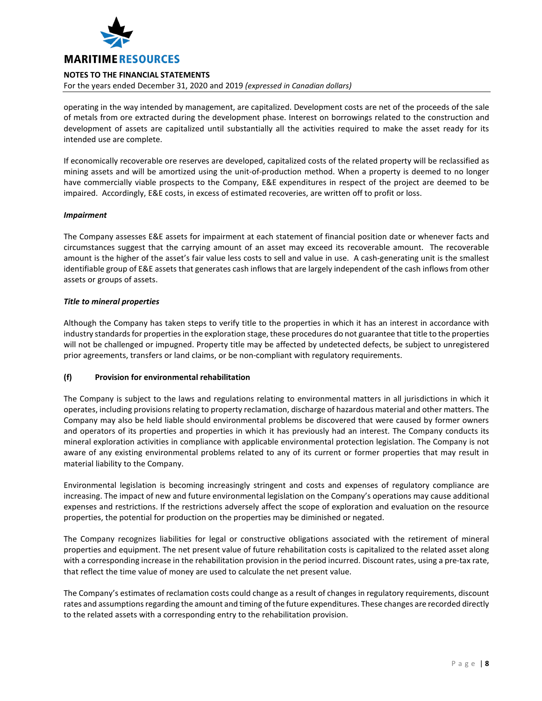

For the years ended December 31, 2020 and 2019 *(expressed in Canadian dollars)*

operating in the way intended by management, are capitalized. Development costs are net of the proceeds of the sale of metals from ore extracted during the development phase. Interest on borrowings related to the construction and development of assets are capitalized until substantially all the activities required to make the asset ready for its intended use are complete.

If economically recoverable ore reserves are developed, capitalized costs of the related property will be reclassified as mining assets and will be amortized using the unit-of-production method. When a property is deemed to no longer have commercially viable prospects to the Company, E&E expenditures in respect of the project are deemed to be impaired. Accordingly, E&E costs, in excess of estimated recoveries, are written off to profit or loss.

## *Impairment*

The Company assesses E&E assets for impairment at each statement of financial position date or whenever facts and circumstances suggest that the carrying amount of an asset may exceed its recoverable amount. The recoverable amount is the higher of the asset's fair value less costs to sell and value in use. A cash-generating unit is the smallest identifiable group of E&E assets that generates cash inflows that are largely independent of the cash inflows from other assets or groups of assets.

## *Title to mineral properties*

Although the Company has taken steps to verify title to the properties in which it has an interest in accordance with industry standards for properties in the exploration stage, these procedures do not guarantee that title to the properties will not be challenged or impugned. Property title may be affected by undetected defects, be subject to unregistered prior agreements, transfers or land claims, or be non-compliant with regulatory requirements.

# **(f) Provision for environmental rehabilitation**

The Company is subject to the laws and regulations relating to environmental matters in all jurisdictions in which it operates, including provisions relating to property reclamation, discharge of hazardous material and other matters. The Company may also be held liable should environmental problems be discovered that were caused by former owners and operators of its properties and properties in which it has previously had an interest. The Company conducts its mineral exploration activities in compliance with applicable environmental protection legislation. The Company is not aware of any existing environmental problems related to any of its current or former properties that may result in material liability to the Company.

Environmental legislation is becoming increasingly stringent and costs and expenses of regulatory compliance are increasing. The impact of new and future environmental legislation on the Company's operations may cause additional expenses and restrictions. If the restrictions adversely affect the scope of exploration and evaluation on the resource properties, the potential for production on the properties may be diminished or negated.

The Company recognizes liabilities for legal or constructive obligations associated with the retirement of mineral properties and equipment. The net present value of future rehabilitation costs is capitalized to the related asset along with a corresponding increase in the rehabilitation provision in the period incurred. Discount rates, using a pre-tax rate, that reflect the time value of money are used to calculate the net present value.

The Company's estimates of reclamation costs could change as a result of changes in regulatory requirements, discount rates and assumptions regarding the amount and timing of the future expenditures. These changes are recorded directly to the related assets with a corresponding entry to the rehabilitation provision.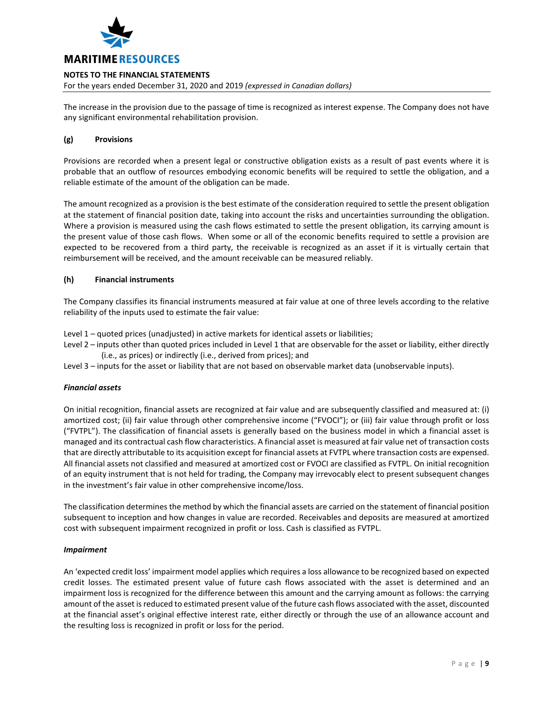

For the years ended December 31, 2020 and 2019 *(expressed in Canadian dollars)*

The increase in the provision due to the passage of time is recognized as interest expense. The Company does not have any significant environmental rehabilitation provision.

# **(g) Provisions**

Provisions are recorded when a present legal or constructive obligation exists as a result of past events where it is probable that an outflow of resources embodying economic benefits will be required to settle the obligation, and a reliable estimate of the amount of the obligation can be made.

The amount recognized as a provision is the best estimate of the consideration required to settle the present obligation at the statement of financial position date, taking into account the risks and uncertainties surrounding the obligation. Where a provision is measured using the cash flows estimated to settle the present obligation, its carrying amount is the present value of those cash flows. When some or all of the economic benefits required to settle a provision are expected to be recovered from a third party, the receivable is recognized as an asset if it is virtually certain that reimbursement will be received, and the amount receivable can be measured reliably.

# **(h) Financial instruments**

The Company classifies its financial instruments measured at fair value at one of three levels according to the relative reliability of the inputs used to estimate the fair value:

- Level 1 quoted prices (unadjusted) in active markets for identical assets or liabilities;
- Level 2 inputs other than quoted prices included in Level 1 that are observable for the asset or liability, either directly (i.e., as prices) or indirectly (i.e., derived from prices); and
- Level 3 inputs for the asset or liability that are not based on observable market data (unobservable inputs).

## *Financial assets*

On initial recognition, financial assets are recognized at fair value and are subsequently classified and measured at: (i) amortized cost; (ii) fair value through other comprehensive income ("FVOCI"); or (iii) fair value through profit or loss ("FVTPL"). The classification of financial assets is generally based on the business model in which a financial asset is managed and its contractual cash flow characteristics. A financial asset is measured at fair value net of transaction costs that are directly attributable to its acquisition except for financial assets at FVTPL where transaction costs are expensed. All financial assets not classified and measured at amortized cost or FVOCI are classified as FVTPL. On initial recognition of an equity instrument that is not held for trading, the Company may irrevocably elect to present subsequent changes in the investment's fair value in other comprehensive income/loss.

The classification determines the method by which the financial assets are carried on the statement of financial position subsequent to inception and how changes in value are recorded. Receivables and deposits are measured at amortized cost with subsequent impairment recognized in profit or loss. Cash is classified as FVTPL.

## *Impairment*

An 'expected credit loss' impairment model applies which requires a loss allowance to be recognized based on expected credit losses. The estimated present value of future cash flows associated with the asset is determined and an impairment loss is recognized for the difference between this amount and the carrying amount as follows: the carrying amount of the asset is reduced to estimated present value of the future cash flows associated with the asset, discounted at the financial asset's original effective interest rate, either directly or through the use of an allowance account and the resulting loss is recognized in profit or loss for the period.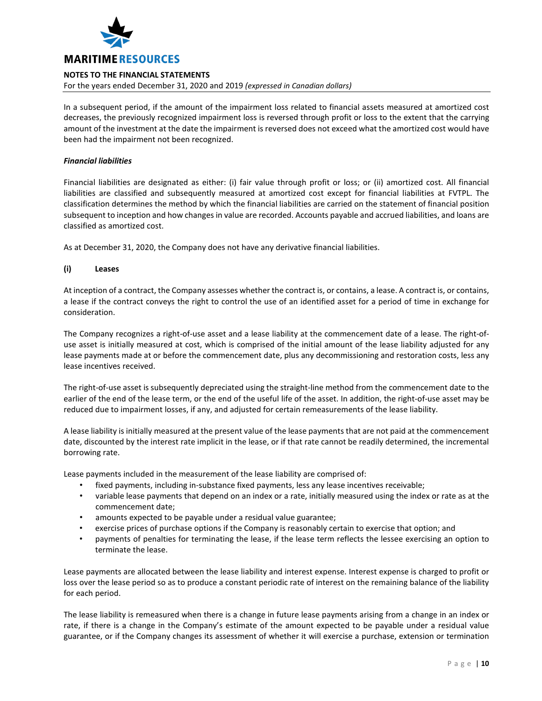

For the years ended December 31, 2020 and 2019 *(expressed in Canadian dollars)*

In a subsequent period, if the amount of the impairment loss related to financial assets measured at amortized cost decreases, the previously recognized impairment loss is reversed through profit or loss to the extent that the carrying amount of the investment at the date the impairment is reversed does not exceed what the amortized cost would have been had the impairment not been recognized.

# *Financial liabilities*

Financial liabilities are designated as either: (i) fair value through profit or loss; or (ii) amortized cost. All financial liabilities are classified and subsequently measured at amortized cost except for financial liabilities at FVTPL. The classification determines the method by which the financial liabilities are carried on the statement of financial position subsequent to inception and how changes in value are recorded. Accounts payable and accrued liabilities, and loans are classified as amortized cost.

As at December 31, 2020, the Company does not have any derivative financial liabilities.

# **(i) Leases**

At inception of a contract, the Company assesses whether the contract is, or contains, a lease. A contract is, or contains, a lease if the contract conveys the right to control the use of an identified asset for a period of time in exchange for consideration.

The Company recognizes a right-of-use asset and a lease liability at the commencement date of a lease. The right-ofuse asset is initially measured at cost, which is comprised of the initial amount of the lease liability adjusted for any lease payments made at or before the commencement date, plus any decommissioning and restoration costs, less any lease incentives received.

The right-of-use asset is subsequently depreciated using the straight-line method from the commencement date to the earlier of the end of the lease term, or the end of the useful life of the asset. In addition, the right-of-use asset may be reduced due to impairment losses, if any, and adjusted for certain remeasurements of the lease liability.

A lease liability is initially measured at the present value of the lease payments that are not paid at the commencement date, discounted by the interest rate implicit in the lease, or if that rate cannot be readily determined, the incremental borrowing rate.

Lease payments included in the measurement of the lease liability are comprised of:

- fixed payments, including in-substance fixed payments, less any lease incentives receivable;
- variable lease payments that depend on an index or a rate, initially measured using the index or rate as at the commencement date;
- amounts expected to be payable under a residual value guarantee;
- exercise prices of purchase options if the Company is reasonably certain to exercise that option; and
- payments of penalties for terminating the lease, if the lease term reflects the lessee exercising an option to terminate the lease.

Lease payments are allocated between the lease liability and interest expense. Interest expense is charged to profit or loss over the lease period so as to produce a constant periodic rate of interest on the remaining balance of the liability for each period.

The lease liability is remeasured when there is a change in future lease payments arising from a change in an index or rate, if there is a change in the Company's estimate of the amount expected to be payable under a residual value guarantee, or if the Company changes its assessment of whether it will exercise a purchase, extension or termination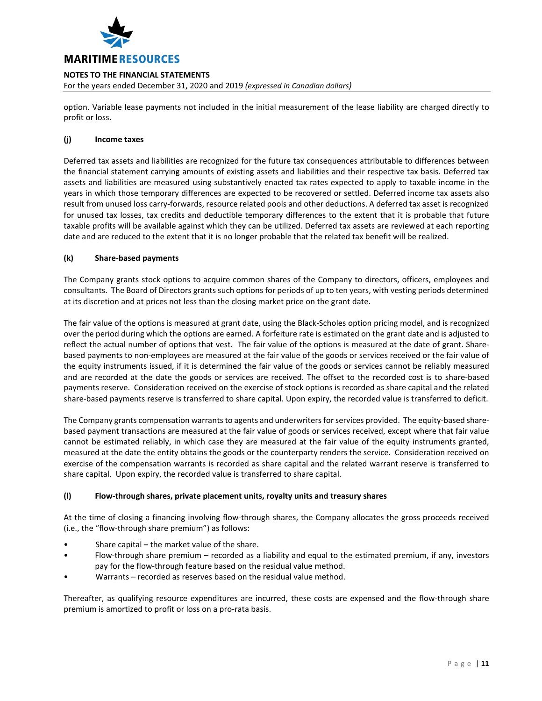

For the years ended December 31, 2020 and 2019 *(expressed in Canadian dollars)*

option. Variable lease payments not included in the initial measurement of the lease liability are charged directly to profit or loss.

## **(j) Income taxes**

Deferred tax assets and liabilities are recognized for the future tax consequences attributable to differences between the financial statement carrying amounts of existing assets and liabilities and their respective tax basis. Deferred tax assets and liabilities are measured using substantively enacted tax rates expected to apply to taxable income in the years in which those temporary differences are expected to be recovered or settled. Deferred income tax assets also result from unused loss carry-forwards, resource related pools and other deductions. A deferred tax asset is recognized for unused tax losses, tax credits and deductible temporary differences to the extent that it is probable that future taxable profits will be available against which they can be utilized. Deferred tax assets are reviewed at each reporting date and are reduced to the extent that it is no longer probable that the related tax benefit will be realized.

## **(k) Share-based payments**

The Company grants stock options to acquire common shares of the Company to directors, officers, employees and consultants. The Board of Directors grants such options for periods of up to ten years, with vesting periods determined at its discretion and at prices not less than the closing market price on the grant date.

The fair value of the options is measured at grant date, using the Black-Scholes option pricing model, and is recognized over the period during which the options are earned. A forfeiture rate is estimated on the grant date and is adjusted to reflect the actual number of options that vest. The fair value of the options is measured at the date of grant. Sharebased payments to non-employees are measured at the fair value of the goods or services received or the fair value of the equity instruments issued, if it is determined the fair value of the goods or services cannot be reliably measured and are recorded at the date the goods or services are received. The offset to the recorded cost is to share-based payments reserve. Consideration received on the exercise of stock options is recorded as share capital and the related share-based payments reserve is transferred to share capital. Upon expiry, the recorded value is transferred to deficit.

The Company grants compensation warrants to agents and underwriters for services provided. The equity-based sharebased payment transactions are measured at the fair value of goods or services received, except where that fair value cannot be estimated reliably, in which case they are measured at the fair value of the equity instruments granted, measured at the date the entity obtains the goods or the counterparty renders the service. Consideration received on exercise of the compensation warrants is recorded as share capital and the related warrant reserve is transferred to share capital. Upon expiry, the recorded value is transferred to share capital.

# **(l) Flow-through shares, private placement units, royalty units and treasury shares**

At the time of closing a financing involving flow-through shares, the Company allocates the gross proceeds received (i.e., the "flow-through share premium") as follows:

- Share capital the market value of the share.
- Flow-through share premium recorded as a liability and equal to the estimated premium, if any, investors pay for the flow-through feature based on the residual value method.
- Warrants recorded as reserves based on the residual value method.

Thereafter, as qualifying resource expenditures are incurred, these costs are expensed and the flow-through share premium is amortized to profit or loss on a pro-rata basis.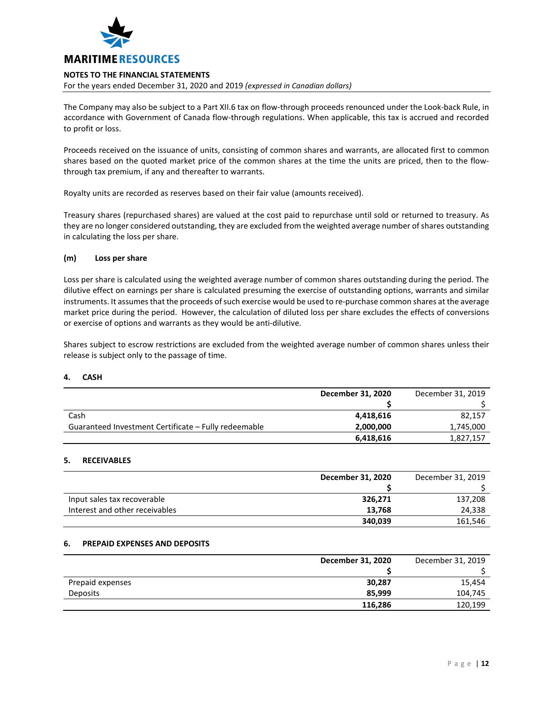

For the years ended December 31, 2020 and 2019 *(expressed in Canadian dollars)*

The Company may also be subject to a Part XII.6 tax on flow-through proceeds renounced under the Look-back Rule, in accordance with Government of Canada flow-through regulations. When applicable, this tax is accrued and recorded to profit or loss.

Proceeds received on the issuance of units, consisting of common shares and warrants, are allocated first to common shares based on the quoted market price of the common shares at the time the units are priced, then to the flowthrough tax premium, if any and thereafter to warrants.

Royalty units are recorded as reserves based on their fair value (amounts received).

Treasury shares (repurchased shares) are valued at the cost paid to repurchase until sold or returned to treasury. As they are no longer considered outstanding, they are excluded from the weighted average number of shares outstanding in calculating the loss per share.

## **(m) Loss per share**

Loss per share is calculated using the weighted average number of common shares outstanding during the period. The dilutive effect on earnings per share is calculated presuming the exercise of outstanding options, warrants and similar instruments. It assumes that the proceeds of such exercise would be used to re-purchase common shares at the average market price during the period. However, the calculation of diluted loss per share excludes the effects of conversions or exercise of options and warrants as they would be anti-dilutive.

Shares subject to escrow restrictions are excluded from the weighted average number of common shares unless their release is subject only to the passage of time.

## **4. CASH**

|                                                      | December 31, 2020 | December 31, 2019 |
|------------------------------------------------------|-------------------|-------------------|
|                                                      |                   |                   |
| Cash                                                 | 4,418,616         | 82.157            |
| Guaranteed Investment Certificate – Fully redeemable | 2,000,000         | 1,745,000         |
|                                                      | 6,418,616         | 1,827,157         |

## **5. RECEIVABLES**

|                                | December 31, 2020 | December 31, 2019 |
|--------------------------------|-------------------|-------------------|
|                                |                   |                   |
| Input sales tax recoverable    | 326,271           | 137,208           |
| Interest and other receivables | 13,768            | 24,338            |
|                                | 340,039           | 161,546           |

## **6. PREPAID EXPENSES AND DEPOSITS**

|                  | December 31, 2020 | December 31, 2019 |
|------------------|-------------------|-------------------|
|                  |                   |                   |
| Prepaid expenses | 30,287            | 15,454            |
| Deposits         | 85.999            | 104,745           |
|                  | 116,286           | 120,199           |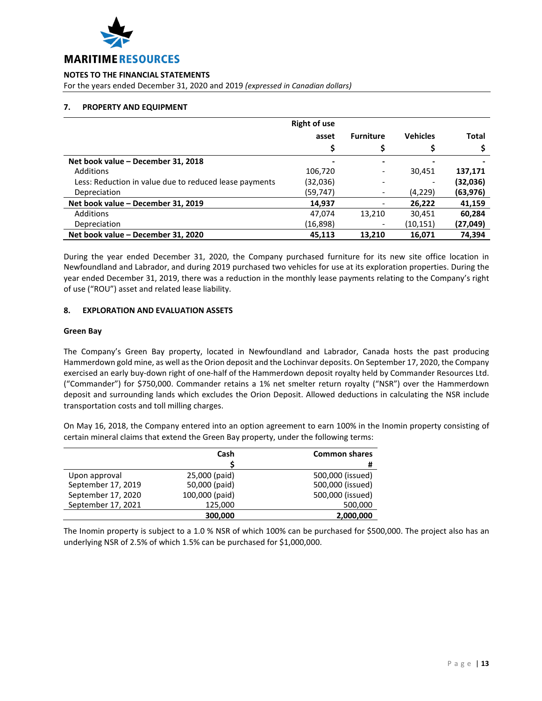

For the years ended December 31, 2020 and 2019 *(expressed in Canadian dollars)*

# **7. PROPERTY AND EQUIPMENT**

|                                                        | <b>Right of use</b> |                  |                 |              |
|--------------------------------------------------------|---------------------|------------------|-----------------|--------------|
|                                                        | asset               | <b>Furniture</b> | <b>Vehicles</b> | <b>Total</b> |
|                                                        | \$                  |                  | Ş               |              |
| Net book value - December 31, 2018                     |                     |                  |                 |              |
| <b>Additions</b>                                       | 106,720             |                  | 30,451          | 137,171      |
| Less: Reduction in value due to reduced lease payments | (32,036)            |                  |                 | (32,036)     |
| Depreciation                                           | (59, 747)           | ۰                | (4,229)         | (63,976)     |
| Net book value - December 31, 2019                     | 14,937              |                  | 26,222          | 41,159       |
| Additions                                              | 47,074              | 13,210           | 30,451          | 60,284       |
| Depreciation                                           | (16, 898)           |                  | (10, 151)       | (27,049)     |
| Net book value – December 31, 2020                     | 45,113              | 13.210           | 16,071          | 74.394       |

During the year ended December 31, 2020, the Company purchased furniture for its new site office location in Newfoundland and Labrador, and during 2019 purchased two vehicles for use at its exploration properties. During the year ended December 31, 2019, there was a reduction in the monthly lease payments relating to the Company's right of use ("ROU") asset and related lease liability.

# **8. EXPLORATION AND EVALUATION ASSETS**

## **Green Bay**

The Company's Green Bay property, located in Newfoundland and Labrador, Canada hosts the past producing Hammerdown gold mine, as well as the Orion deposit and the Lochinvar deposits. On September 17, 2020, the Company exercised an early buy-down right of one-half of the Hammerdown deposit royalty held by Commander Resources Ltd. ("Commander") for \$750,000. Commander retains a 1% net smelter return royalty ("NSR") over the Hammerdown deposit and surrounding lands which excludes the Orion Deposit. Allowed deductions in calculating the NSR include transportation costs and toll milling charges.

On May 16, 2018, the Company entered into an option agreement to earn 100% in the Inomin property consisting of certain mineral claims that extend the Green Bay property, under the following terms:

|                    | Cash           | <b>Common shares</b> |
|--------------------|----------------|----------------------|
|                    |                | #                    |
| Upon approval      | 25,000 (paid)  | 500,000 (issued)     |
| September 17, 2019 | 50,000 (paid)  | 500,000 (issued)     |
| September 17, 2020 | 100,000 (paid) | 500,000 (issued)     |
| September 17, 2021 | 125,000        | 500,000              |
|                    | 300,000        | 2,000,000            |

The Inomin property is subject to a 1.0 % NSR of which 100% can be purchased for \$500,000. The project also has an underlying NSR of 2.5% of which 1.5% can be purchased for \$1,000,000.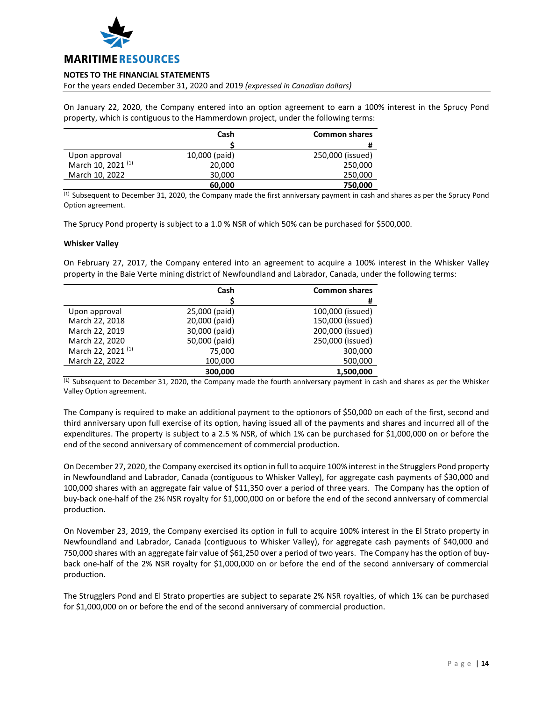

For the years ended December 31, 2020 and 2019 *(expressed in Canadian dollars)*

On January 22, 2020, the Company entered into an option agreement to earn a 100% interest in the Sprucy Pond property, which is contiguous to the Hammerdown project, under the following terms:

|                               | Cash          | <b>Common shares</b> |
|-------------------------------|---------------|----------------------|
|                               |               | #                    |
| Upon approval                 | 10,000 (paid) | 250,000 (issued)     |
| March 10, 2021 <sup>(1)</sup> | 20,000        | 250,000              |
| March 10, 2022                | 30,000        | 250,000              |
|                               | 60,000        | 750,000              |

 $(1)$  Subsequent to December 31, 2020, the Company made the first anniversary payment in cash and shares as per the Sprucy Pond Option agreement.

The Sprucy Pond property is subject to a 1.0 % NSR of which 50% can be purchased for \$500,000.

#### **Whisker Valley**

On February 27, 2017, the Company entered into an agreement to acquire a 100% interest in the Whisker Valley property in the Baie Verte mining district of Newfoundland and Labrador, Canada, under the following terms:

|                               | Cash          | <b>Common shares</b> |
|-------------------------------|---------------|----------------------|
|                               |               | #                    |
| Upon approval                 | 25,000 (paid) | 100,000 (issued)     |
| March 22, 2018                | 20,000 (paid) | 150,000 (issued)     |
| March 22, 2019                | 30,000 (paid) | 200,000 (issued)     |
| March 22, 2020                | 50,000 (paid) | 250,000 (issued)     |
| March 22, 2021 <sup>(1)</sup> | 75,000        | 300,000              |
| March 22, 2022                | 100,000       | 500,000              |
|                               | 300.000       | 1,500,000            |

 $\overline{1}$  Subsequent to December 31, 2020, the Company made the fourth anniversary payment in cash and shares as per the Whisker Valley Option agreement.

The Company is required to make an additional payment to the optionors of \$50,000 on each of the first, second and third anniversary upon full exercise of its option, having issued all of the payments and shares and incurred all of the expenditures. The property is subject to a 2.5 % NSR, of which 1% can be purchased for \$1,000,000 on or before the end of the second anniversary of commencement of commercial production.

On December 27, 2020, the Company exercised its option in full to acquire 100% interest in the Strugglers Pond property in Newfoundland and Labrador, Canada (contiguous to Whisker Valley), for aggregate cash payments of \$30,000 and 100,000 shares with an aggregate fair value of \$11,350 over a period of three years. The Company has the option of buy-back one-half of the 2% NSR royalty for \$1,000,000 on or before the end of the second anniversary of commercial production.

On November 23, 2019, the Company exercised its option in full to acquire 100% interest in the El Strato property in Newfoundland and Labrador, Canada (contiguous to Whisker Valley), for aggregate cash payments of \$40,000 and 750,000 shares with an aggregate fair value of \$61,250 over a period of two years. The Company has the option of buyback one-half of the 2% NSR royalty for \$1,000,000 on or before the end of the second anniversary of commercial production.

The Strugglers Pond and El Strato properties are subject to separate 2% NSR royalties, of which 1% can be purchased for \$1,000,000 on or before the end of the second anniversary of commercial production.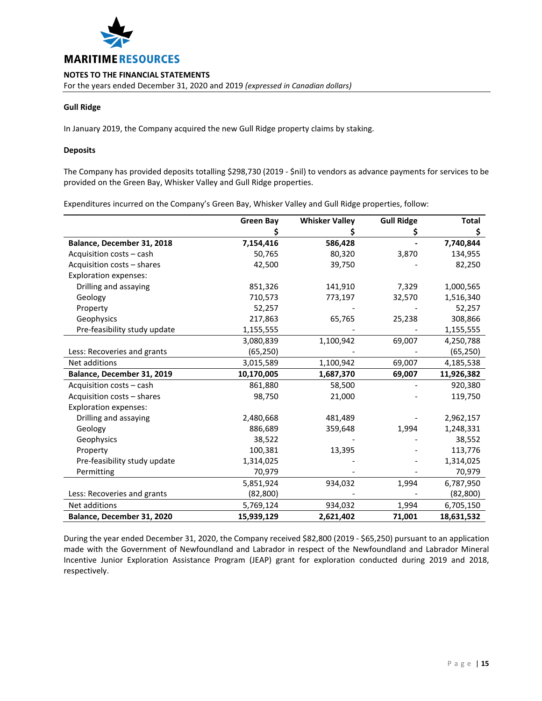

For the years ended December 31, 2020 and 2019 *(expressed in Canadian dollars)*

# **Gull Ridge**

In January 2019, the Company acquired the new Gull Ridge property claims by staking.

#### **Deposits**

The Company has provided deposits totalling \$298,730 (2019 - \$nil) to vendors as advance payments for services to be provided on the Green Bay, Whisker Valley and Gull Ridge properties.

Expenditures incurred on the Company's Green Bay, Whisker Valley and Gull Ridge properties, follow:

|                              | <b>Green Bay</b> | <b>Whisker Valley</b> | <b>Gull Ridge</b> | <b>Total</b> |
|------------------------------|------------------|-----------------------|-------------------|--------------|
|                              |                  |                       | Ş                 | \$,          |
| Balance, December 31, 2018   | 7,154,416        | 586,428               |                   | 7,740,844    |
| Acquisition costs - cash     | 50,765           | 80,320                | 3,870             | 134,955      |
| Acquisition costs - shares   | 42,500           | 39,750                |                   | 82,250       |
| <b>Exploration expenses:</b> |                  |                       |                   |              |
| Drilling and assaying        | 851,326          | 141,910               | 7,329             | 1,000,565    |
| Geology                      | 710,573          | 773,197               | 32,570            | 1,516,340    |
| Property                     | 52,257           |                       |                   | 52,257       |
| Geophysics                   | 217,863          | 65,765                | 25,238            | 308,866      |
| Pre-feasibility study update | 1,155,555        |                       |                   | 1,155,555    |
|                              | 3,080,839        | 1,100,942             | 69,007            | 4,250,788    |
| Less: Recoveries and grants  | (65, 250)        |                       |                   | (65, 250)    |
| Net additions                | 3,015,589        | 1,100,942             | 69,007            | 4,185,538    |
| Balance, December 31, 2019   | 10,170,005       | 1,687,370             | 69,007            | 11,926,382   |
| Acquisition costs - cash     | 861,880          | 58,500                |                   | 920,380      |
| Acquisition costs - shares   | 98,750           | 21,000                |                   | 119,750      |
| <b>Exploration expenses:</b> |                  |                       |                   |              |
| Drilling and assaying        | 2,480,668        | 481,489               |                   | 2,962,157    |
| Geology                      | 886,689          | 359,648               | 1,994             | 1,248,331    |
| Geophysics                   | 38,522           |                       |                   | 38,552       |
| Property                     | 100,381          | 13,395                |                   | 113,776      |
| Pre-feasibility study update | 1,314,025        |                       |                   | 1,314,025    |
| Permitting                   | 70,979           |                       |                   | 70,979       |
|                              | 5,851,924        | 934,032               | 1,994             | 6,787,950    |
| Less: Recoveries and grants  | (82, 800)        |                       |                   | (82, 800)    |
| Net additions                | 5,769,124        | 934,032               | 1,994             | 6,705,150    |
| Balance, December 31, 2020   | 15,939,129       | 2,621,402             | 71,001            | 18,631,532   |

During the year ended December 31, 2020, the Company received \$82,800 (2019 - \$65,250) pursuant to an application made with the Government of Newfoundland and Labrador in respect of the Newfoundland and Labrador Mineral Incentive Junior Exploration Assistance Program (JEAP) grant for exploration conducted during 2019 and 2018, respectively.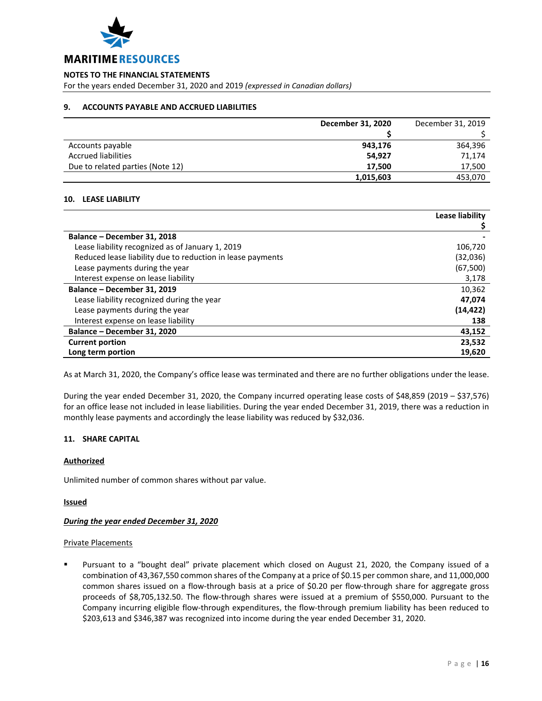

For the years ended December 31, 2020 and 2019 *(expressed in Canadian dollars)*

# **9. ACCOUNTS PAYABLE AND ACCRUED LIABILITIES**

|                                  | December 31, 2020 | December 31, 2019 |
|----------------------------------|-------------------|-------------------|
|                                  |                   |                   |
| Accounts payable                 | 943,176           | 364,396           |
| <b>Accrued liabilities</b>       | 54.927            | 71,174            |
| Due to related parties (Note 12) | 17.500            | 17,500            |
|                                  | 1,015,603         | 453,070           |

# **10. LEASE LIABILITY**

|                                                            | Lease liability |
|------------------------------------------------------------|-----------------|
|                                                            |                 |
| Balance – December 31, 2018                                |                 |
| Lease liability recognized as of January 1, 2019           | 106,720         |
| Reduced lease liability due to reduction in lease payments | (32,036)        |
| Lease payments during the year                             | (67, 500)       |
| Interest expense on lease liability                        | 3,178           |
| Balance - December 31, 2019                                | 10,362          |
| Lease liability recognized during the year                 | 47,074          |
| Lease payments during the year                             | (14, 422)       |
| Interest expense on lease liability                        | 138             |
| Balance - December 31, 2020                                | 43,152          |
| <b>Current portion</b>                                     | 23,532          |
| Long term portion                                          | 19,620          |

As at March 31, 2020, the Company's office lease was terminated and there are no further obligations under the lease.

During the year ended December 31, 2020, the Company incurred operating lease costs of \$48,859 (2019 – \$37,576) for an office lease not included in lease liabilities. During the year ended December 31, 2019, there was a reduction in monthly lease payments and accordingly the lease liability was reduced by \$32,036.

# **11. SHARE CAPITAL**

## **Authorized**

Unlimited number of common shares without par value.

## **Issued**

## *During the year ended December 31, 2020*

#### Private Placements

 Pursuant to a "bought deal" private placement which closed on August 21, 2020, the Company issued of a combination of 43,367,550 common shares of the Company at a price of \$0.15 per common share, and 11,000,000 common shares issued on a flow-through basis at a price of \$0.20 per flow-through share for aggregate gross proceeds of \$8,705,132.50. The flow-through shares were issued at a premium of \$550,000. Pursuant to the Company incurring eligible flow-through expenditures, the flow-through premium liability has been reduced to \$203,613 and \$346,387 was recognized into income during the year ended December 31, 2020.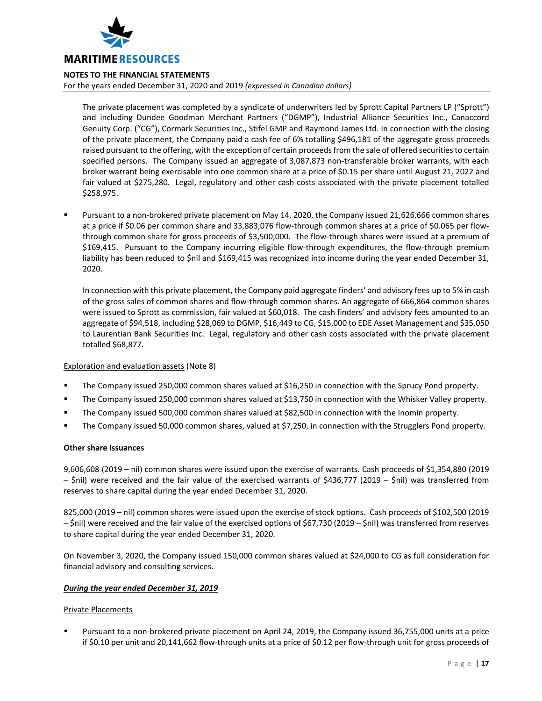

For the years ended December 31, 2020 and 2019 *(expressed in Canadian dollars)*

The private placement was completed by a syndicate of underwriters led by Sprott Capital Partners LP ("Sprott") and including Dundee Goodman Merchant Partners ("DGMP"), Industrial Alliance Securities Inc., Canaccord Genuity Corp. ("CG"), Cormark Securities Inc., Stifel GMP and Raymond James Ltd. In connection with the closing of the private placement, the Company paid a cash fee of 6% totalling \$496,181 of the aggregate gross proceeds raised pursuant to the offering, with the exception of certain proceeds from the sale of offered securities to certain specified persons. The Company issued an aggregate of 3,087,873 non-transferable broker warrants, with each broker warrant being exercisable into one common share at a price of \$0.15 per share until August 21, 2022 and fair valued at \$275,280. Legal, regulatory and other cash costs associated with the private placement totalled \$258,975.

 Pursuant to a non-brokered private placement on May 14, 2020, the Company issued 21,626,666 common shares at a price if \$0.06 per common share and 33,883,076 flow-through common shares at a price of \$0.065 per flowthrough common share for gross proceeds of \$3,500,000. The flow-through shares were issued at a premium of \$169,415. Pursuant to the Company incurring eligible flow-through expenditures, the flow-through premium liability has been reduced to \$nil and \$169,415 was recognized into income during the year ended December 31, 2020.

In connection with this private placement, the Company paid aggregate finders' and advisory fees up to 5% in cash of the gross sales of common shares and flow-through common shares. An aggregate of 666,864 common shares were issued to Sprott as commission, fair valued at \$60,018. The cash finders' and advisory fees amounted to an aggregate of \$94,518, including \$28,069 to DGMP, \$16,449 to CG, \$15,000 to EDE Asset Management and \$35,050 to Laurentian Bank Securities Inc. Legal, regulatory and other cash costs associated with the private placement totalled \$68,877.

## Exploration and evaluation assets (Note 8)

- The Company issued 250,000 common shares valued at \$16,250 in connection with the Sprucy Pond property.
- The Company issued 250,000 common shares valued at \$13,750 in connection with the Whisker Valley property.
- The Company issued 500,000 common shares valued at \$82,500 in connection with the Inomin property.
- The Company issued 50,000 common shares, valued at \$7,250, in connection with the Strugglers Pond property.

## **Other share issuances**

9,606,608 (2019 – nil) common shares were issued upon the exercise of warrants. Cash proceeds of \$1,354,880 (2019 – \$nil) were received and the fair value of the exercised warrants of \$436,777 (2019 – \$nil) was transferred from reserves to share capital during the year ended December 31, 2020.

825,000 (2019 – nil) common shares were issued upon the exercise of stock options. Cash proceeds of \$102,500 (2019 – \$nil) were received and the fair value of the exercised options of \$67,730 (2019 – \$nil) was transferred from reserves to share capital during the year ended December 31, 2020.

On November 3, 2020, the Company issued 150,000 common shares valued at \$24,000 to CG as full consideration for financial advisory and consulting services.

## *During the year ended December 31, 2019*

## Private Placements

 Pursuant to a non-brokered private placement on April 24, 2019, the Company issued 36,755,000 units at a price if \$0.10 per unit and 20,141,662 flow-through units at a price of \$0.12 per flow-through unit for gross proceeds of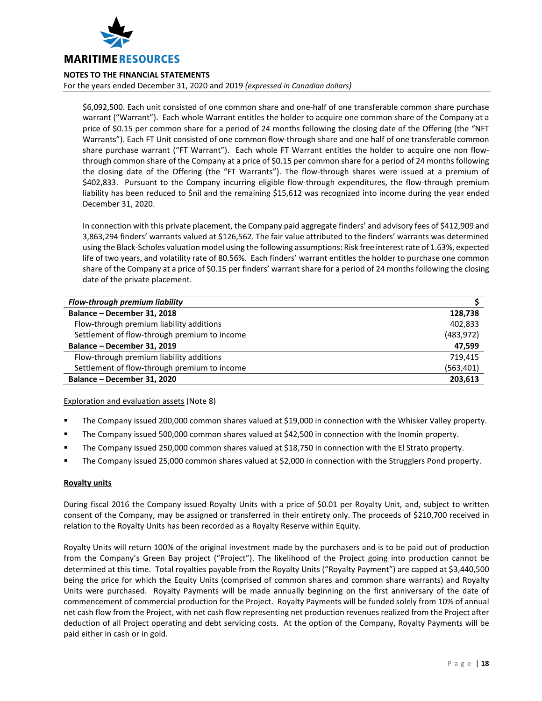

For the years ended December 31, 2020 and 2019 *(expressed in Canadian dollars)*

\$6,092,500. Each unit consisted of one common share and one-half of one transferable common share purchase warrant ("Warrant"). Each whole Warrant entitles the holder to acquire one common share of the Company at a price of \$0.15 per common share for a period of 24 months following the closing date of the Offering (the "NFT Warrants"). Each FT Unit consisted of one common flow-through share and one half of one transferable common share purchase warrant ("FT Warrant"). Each whole FT Warrant entitles the holder to acquire one non flowthrough common share of the Company at a price of \$0.15 per common share for a period of 24 months following the closing date of the Offering (the "FT Warrants"). The flow-through shares were issued at a premium of \$402,833. Pursuant to the Company incurring eligible flow-through expenditures, the flow-through premium liability has been reduced to \$nil and the remaining \$15,612 was recognized into income during the year ended December 31, 2020.

In connection with this private placement, the Company paid aggregate finders' and advisory fees of \$412,909 and 3,863,294 finders' warrants valued at \$126,562. The fair value attributed to the finders' warrants was determined using the Black-Scholes valuation model using the following assumptions: Risk free interest rate of 1.63%, expected life of two years, and volatility rate of 80.56%. Each finders' warrant entitles the holder to purchase one common share of the Company at a price of \$0.15 per finders' warrant share for a period of 24 months following the closing date of the private placement.

| <b>Flow-through premium liability</b>        |            |
|----------------------------------------------|------------|
| Balance - December 31, 2018                  | 128,738    |
| Flow-through premium liability additions     | 402,833    |
| Settlement of flow-through premium to income | (483, 972) |
| Balance - December 31, 2019                  | 47,599     |
| Flow-through premium liability additions     | 719.415    |
| Settlement of flow-through premium to income | (563, 401) |
| Balance - December 31, 2020                  | 203,613    |

Exploration and evaluation assets (Note 8)

- The Company issued 200,000 common shares valued at \$19,000 in connection with the Whisker Valley property.
- The Company issued 500,000 common shares valued at \$42,500 in connection with the Inomin property.
- The Company issued 250,000 common shares valued at \$18,750 in connection with the El Strato property.
- The Company issued 25,000 common shares valued at \$2,000 in connection with the Strugglers Pond property.

## **Royalty units**

During fiscal 2016 the Company issued Royalty Units with a price of \$0.01 per Royalty Unit, and, subject to written consent of the Company, may be assigned or transferred in their entirety only. The proceeds of \$210,700 received in relation to the Royalty Units has been recorded as a Royalty Reserve within Equity.

Royalty Units will return 100% of the original investment made by the purchasers and is to be paid out of production from the Company's Green Bay project ("Project"). The likelihood of the Project going into production cannot be determined at this time. Total royalties payable from the Royalty Units ("Royalty Payment") are capped at \$3,440,500 being the price for which the Equity Units (comprised of common shares and common share warrants) and Royalty Units were purchased. Royalty Payments will be made annually beginning on the first anniversary of the date of commencement of commercial production for the Project. Royalty Payments will be funded solely from 10% of annual net cash flow from the Project, with net cash flow representing net production revenues realized from the Project after deduction of all Project operating and debt servicing costs. At the option of the Company, Royalty Payments will be paid either in cash or in gold.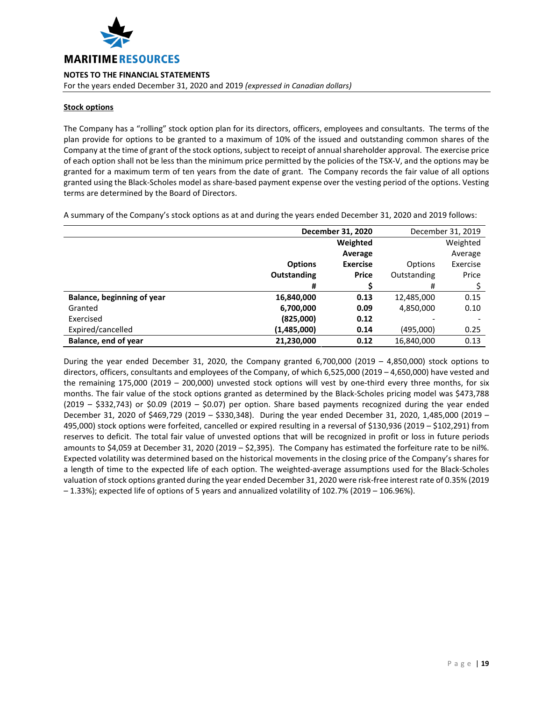

For the years ended December 31, 2020 and 2019 *(expressed in Canadian dollars)*

# **Stock options**

The Company has a "rolling" stock option plan for its directors, officers, employees and consultants. The terms of the plan provide for options to be granted to a maximum of 10% of the issued and outstanding common shares of the Company at the time of grant of the stock options, subject to receipt of annual shareholder approval. The exercise price of each option shall not be less than the minimum price permitted by the policies of the TSX-V, and the options may be granted for a maximum term of ten years from the date of grant. The Company records the fair value of all options granted using the Black-Scholes model as share-based payment expense over the vesting period of the options. Vesting terms are determined by the Board of Directors.

A summary of the Company's stock options as at and during the years ended December 31, 2020 and 2019 follows:

|                            | December 31, 2020  |                 |             | December 31, 2019 |
|----------------------------|--------------------|-----------------|-------------|-------------------|
|                            |                    | Weighted        |             | Weighted          |
|                            |                    | Average         |             | Average           |
|                            | <b>Options</b>     | <b>Exercise</b> | Options     | Exercise          |
|                            | <b>Outstanding</b> | <b>Price</b>    | Outstanding | Price             |
|                            | #                  |                 | #           |                   |
| Balance, beginning of year | 16,840,000         | 0.13            | 12,485,000  | 0.15              |
| Granted                    | 6,700,000          | 0.09            | 4,850,000   | 0.10              |
| Exercised                  | (825,000)          | 0.12            |             |                   |
| Expired/cancelled          | (1,485,000)        | 0.14            | (495,000)   | 0.25              |
| Balance, end of year       | 21,230,000         | 0.12            | 16,840,000  | 0.13              |

During the year ended December 31, 2020, the Company granted 6,700,000 (2019 – 4,850,000) stock options to directors, officers, consultants and employees of the Company, of which 6,525,000 (2019 – 4,650,000) have vested and the remaining 175,000 (2019 – 200,000) unvested stock options will vest by one-third every three months, for six months. The fair value of the stock options granted as determined by the Black-Scholes pricing model was \$473,788  $(2019 - $332,743)$  or \$0.09  $(2019 - $0.07)$  per option. Share based payments recognized during the year ended December 31, 2020 of \$469,729 (2019 – \$330,348). During the year ended December 31, 2020, 1,485,000 (2019 – 495,000) stock options were forfeited, cancelled or expired resulting in a reversal of \$130,936 (2019 – \$102,291) from reserves to deficit. The total fair value of unvested options that will be recognized in profit or loss in future periods amounts to \$4,059 at December 31, 2020 (2019 – \$2,395). The Company has estimated the forfeiture rate to be nil%. Expected volatility was determined based on the historical movements in the closing price of the Company's shares for a length of time to the expected life of each option. The weighted-average assumptions used for the Black-Scholes valuation of stock options granted during the year ended December 31, 2020 were risk-free interest rate of 0.35% (2019 – 1.33%); expected life of options of 5 years and annualized volatility of 102.7% (2019 – 106.96%).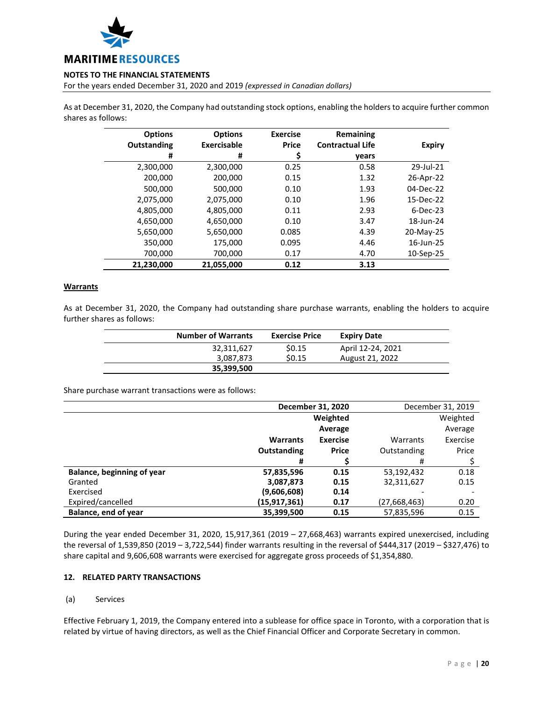

For the years ended December 31, 2020 and 2019 *(expressed in Canadian dollars)*

As at December 31, 2020, the Company had outstanding stock options, enabling the holders to acquire further common shares as follows:

| <b>Options</b> | <b>Options</b> | <b>Exercise</b> | Remaining               |               |
|----------------|----------------|-----------------|-------------------------|---------------|
| Outstanding    | Exercisable    | <b>Price</b>    | <b>Contractual Life</b> | <b>Expiry</b> |
| #              | #              | \$              | years                   |               |
| 2,300,000      | 2,300,000      | 0.25            | 0.58                    | 29-Jul-21     |
| 200,000        | 200,000        | 0.15            | 1.32                    | 26-Apr-22     |
| 500,000        | 500,000        | 0.10            | 1.93                    | 04-Dec-22     |
| 2,075,000      | 2,075,000      | 0.10            | 1.96                    | 15-Dec-22     |
| 4,805,000      | 4,805,000      | 0.11            | 2.93                    | $6$ -Dec-23   |
| 4,650,000      | 4,650,000      | 0.10            | 3.47                    | 18-Jun-24     |
| 5,650,000      | 5,650,000      | 0.085           | 4.39                    | 20-May-25     |
| 350,000        | 175,000        | 0.095           | 4.46                    | 16-Jun-25     |
| 700,000        | 700,000        | 0.17            | 4.70                    | 10-Sep-25     |
| 21,230,000     | 21,055,000     | 0.12            | 3.13                    |               |

## **Warrants**

As at December 31, 2020, the Company had outstanding share purchase warrants, enabling the holders to acquire further shares as follows:

| <b>Number of Warrants</b> |           | <b>Exercise Price</b> | <b>Expiry Date</b> |
|---------------------------|-----------|-----------------------|--------------------|
| 32.311.627                |           | \$0.15                | April 12-24, 2021  |
|                           | 3,087,873 | \$0.15                | August 21, 2022    |
| 35,399,500                |           |                       |                    |

Share purchase warrant transactions were as follows:

|                                   | December 31, 2020 |                 |              | December 31, 2019 |
|-----------------------------------|-------------------|-----------------|--------------|-------------------|
|                                   |                   | Weighted        |              | Weighted          |
|                                   |                   | Average         |              | Average           |
|                                   | <b>Warrants</b>   | <b>Exercise</b> | Warrants     | Exercise          |
|                                   | Outstanding       | <b>Price</b>    | Outstanding  | Price             |
|                                   | #                 |                 | #            |                   |
| <b>Balance, beginning of year</b> | 57,835,596        | 0.15            | 53,192,432   | 0.18              |
| Granted                           | 3,087,873         | 0.15            | 32,311,627   | 0.15              |
| Exercised                         | (9,606,608)       | 0.14            |              |                   |
| Expired/cancelled                 | (15, 917, 361)    | 0.17            | (27,668,463) | 0.20              |
| Balance, end of year              | 35,399,500        | 0.15            | 57,835,596   | 0.15              |

During the year ended December 31, 2020, 15,917,361 (2019 – 27,668,463) warrants expired unexercised, including the reversal of 1,539,850 (2019 – 3,722,544) finder warrants resulting in the reversal of \$444,317 (2019 – \$327,476) to share capital and 9,606,608 warrants were exercised for aggregate gross proceeds of \$1,354,880.

## **12. RELATED PARTY TRANSACTIONS**

# (a) Services

Effective February 1, 2019, the Company entered into a sublease for office space in Toronto, with a corporation that is related by virtue of having directors, as well as the Chief Financial Officer and Corporate Secretary in common.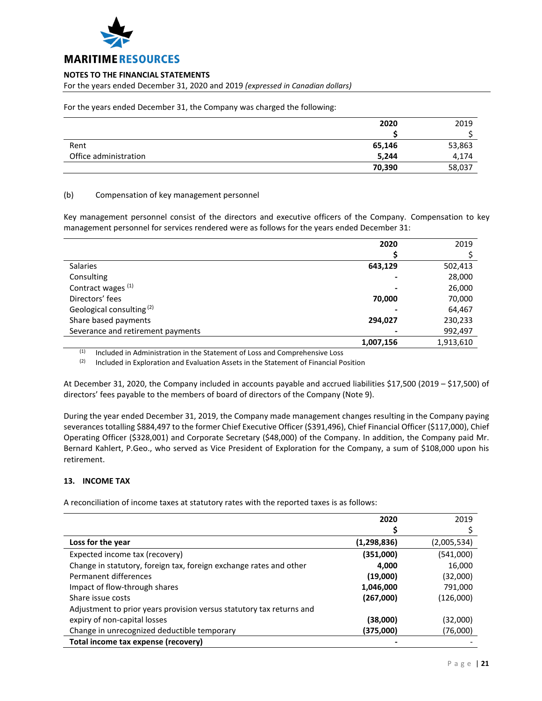

For the years ended December 31, 2020 and 2019 *(expressed in Canadian dollars)*

For the years ended December 31, the Company was charged the following:

|                       | 2020   | 2019   |
|-----------------------|--------|--------|
|                       |        |        |
| Rent                  | 65,146 | 53,863 |
| Office administration | 5,244  | 4,174  |
|                       | 70,390 | 58,037 |

# (b) Compensation of key management personnel

Key management personnel consist of the directors and executive officers of the Company. Compensation to key management personnel for services rendered were as follows for the years ended December 31:

|                                      | 2020      | 2019      |
|--------------------------------------|-----------|-----------|
|                                      |           |           |
| <b>Salaries</b>                      | 643,129   | 502,413   |
| Consulting                           |           | 28,000    |
| Contract wages <sup>(1)</sup>        |           | 26,000    |
| Directors' fees                      | 70,000    | 70,000    |
| Geological consulting <sup>(2)</sup> |           | 64,467    |
| Share based payments                 | 294,027   | 230,233   |
| Severance and retirement payments    |           | 992,497   |
|                                      | 1,007,156 | 1,913,610 |

 $(1)$  Included in Administration in the Statement of Loss and Comprehensive Loss

(2) Included in Exploration and Evaluation Assets in the Statement of Financial Position

At December 31, 2020, the Company included in accounts payable and accrued liabilities \$17,500 (2019 – \$17,500) of directors' fees payable to the members of board of directors of the Company (Note 9).

During the year ended December 31, 2019, the Company made management changes resulting in the Company paying severances totalling \$884,497 to the former Chief Executive Officer (\$391,496), Chief Financial Officer (\$117,000), Chief Operating Officer (\$328,001) and Corporate Secretary (\$48,000) of the Company. In addition, the Company paid Mr. Bernard Kahlert, P.Geo., who served as Vice President of Exploration for the Company, a sum of \$108,000 upon his retirement.

# **13. INCOME TAX**

A reconciliation of income taxes at statutory rates with the reported taxes is as follows:

|                                                                      | 2020        | 2019        |
|----------------------------------------------------------------------|-------------|-------------|
|                                                                      |             |             |
| Loss for the year                                                    | (1,298,836) | (2,005,534) |
| Expected income tax (recovery)                                       | (351,000)   | (541,000)   |
| Change in statutory, foreign tax, foreign exchange rates and other   | 4.000       | 16,000      |
| Permanent differences                                                | (19,000)    | (32,000)    |
| Impact of flow-through shares                                        | 1,046,000   | 791,000     |
| Share issue costs                                                    | (267,000)   | (126,000)   |
| Adjustment to prior years provision versus statutory tax returns and |             |             |
| expiry of non-capital losses                                         | (38,000)    | (32,000)    |
| Change in unrecognized deductible temporary                          | (375,000)   | (76,000)    |
| Total income tax expense (recovery)                                  |             |             |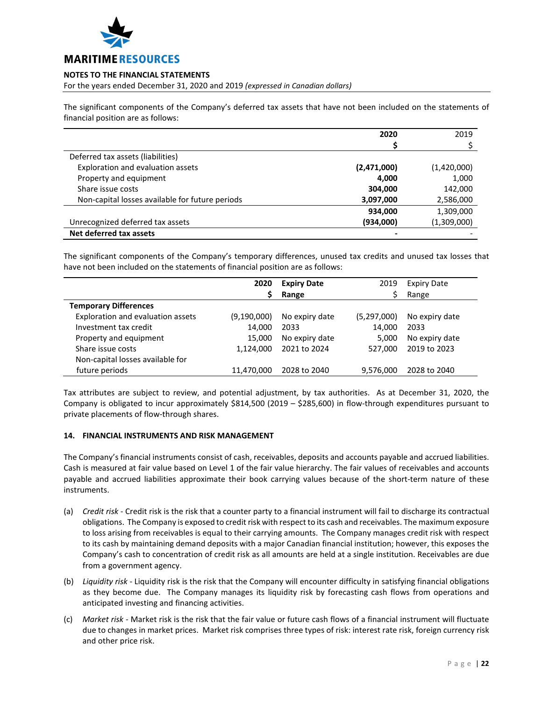

For the years ended December 31, 2020 and 2019 *(expressed in Canadian dollars)*

The significant components of the Company's deferred tax assets that have not been included on the statements of financial position are as follows:

|                                                 | 2020        | 2019        |
|-------------------------------------------------|-------------|-------------|
|                                                 |             |             |
| Deferred tax assets (liabilities)               |             |             |
| Exploration and evaluation assets               | (2,471,000) | (1,420,000) |
| Property and equipment                          | 4,000       | 1,000       |
| Share issue costs                               | 304,000     | 142,000     |
| Non-capital losses available for future periods | 3,097,000   | 2,586,000   |
|                                                 | 934,000     | 1,309,000   |
| Unrecognized deferred tax assets                | (934,000)   | (1,309,000) |
| Net deferred tax assets                         |             |             |

The significant components of the Company's temporary differences, unused tax credits and unused tax losses that have not been included on the statements of financial position are as follows:

|                                   | 2020        | <b>Expiry Date</b> | 2019        | <b>Expiry Date</b> |
|-----------------------------------|-------------|--------------------|-------------|--------------------|
|                                   |             | Range              |             | Range              |
| <b>Temporary Differences</b>      |             |                    |             |                    |
| Exploration and evaluation assets | (9,190,000) | No expiry date     | (5,297,000) | No expiry date     |
| Investment tax credit             | 14,000      | 2033               | 14,000      | 2033               |
| Property and equipment            | 15,000      | No expiry date     | 5,000       | No expiry date     |
| Share issue costs                 | 1,124,000   | 2021 to 2024       | 527,000     | 2019 to 2023       |
| Non-capital losses available for  |             |                    |             |                    |
| future periods                    | 11,470,000  | 2028 to 2040       | 9,576,000   | 2028 to 2040       |

Tax attributes are subject to review, and potential adjustment, by tax authorities. As at December 31, 2020, the Company is obligated to incur approximately \$814,500 (2019 – \$285,600) in flow-through expenditures pursuant to private placements of flow-through shares.

## **14. FINANCIAL INSTRUMENTS AND RISK MANAGEMENT**

The Company's financial instruments consist of cash, receivables, deposits and accounts payable and accrued liabilities. Cash is measured at fair value based on Level 1 of the fair value hierarchy. The fair values of receivables and accounts payable and accrued liabilities approximate their book carrying values because of the short-term nature of these instruments.

- (a) *Credit risk* Credit risk is the risk that a counter party to a financial instrument will fail to discharge its contractual obligations. The Company is exposed to credit risk with respect to its cash and receivables. The maximum exposure to loss arising from receivables is equal to their carrying amounts. The Company manages credit risk with respect to its cash by maintaining demand deposits with a major Canadian financial institution; however, this exposes the Company's cash to concentration of credit risk as all amounts are held at a single institution. Receivables are due from a government agency.
- (b) *Liquidity risk* Liquidity risk is the risk that the Company will encounter difficulty in satisfying financial obligations as they become due. The Company manages its liquidity risk by forecasting cash flows from operations and anticipated investing and financing activities.
- (c) *Market risk* Market risk is the risk that the fair value or future cash flows of a financial instrument will fluctuate due to changes in market prices. Market risk comprises three types of risk: interest rate risk, foreign currency risk and other price risk.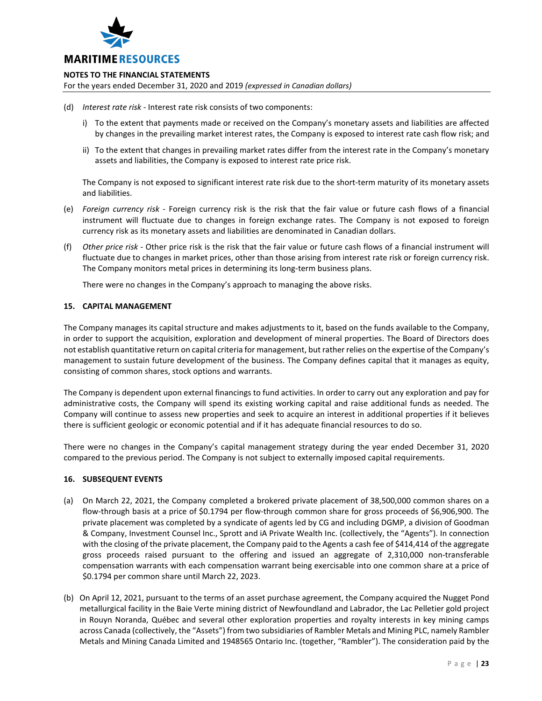

For the years ended December 31, 2020 and 2019 *(expressed in Canadian dollars)*

- (d) *Interest rate risk* Interest rate risk consists of two components:
	- i) To the extent that payments made or received on the Company's monetary assets and liabilities are affected by changes in the prevailing market interest rates, the Company is exposed to interest rate cash flow risk; and
	- ii) To the extent that changes in prevailing market rates differ from the interest rate in the Company's monetary assets and liabilities, the Company is exposed to interest rate price risk.

The Company is not exposed to significant interest rate risk due to the short-term maturity of its monetary assets and liabilities.

- (e) *Foreign currency risk* Foreign currency risk is the risk that the fair value or future cash flows of a financial instrument will fluctuate due to changes in foreign exchange rates. The Company is not exposed to foreign currency risk as its monetary assets and liabilities are denominated in Canadian dollars.
- (f) *Other price risk* Other price risk is the risk that the fair value or future cash flows of a financial instrument will fluctuate due to changes in market prices, other than those arising from interest rate risk or foreign currency risk. The Company monitors metal prices in determining its long-term business plans.

There were no changes in the Company's approach to managing the above risks.

# **15. CAPITAL MANAGEMENT**

The Company manages its capital structure and makes adjustments to it, based on the funds available to the Company, in order to support the acquisition, exploration and development of mineral properties. The Board of Directors does not establish quantitative return on capital criteria for management, but rather relies on the expertise of the Company's management to sustain future development of the business. The Company defines capital that it manages as equity, consisting of common shares, stock options and warrants.

The Company is dependent upon external financings to fund activities. In order to carry out any exploration and pay for administrative costs, the Company will spend its existing working capital and raise additional funds as needed. The Company will continue to assess new properties and seek to acquire an interest in additional properties if it believes there is sufficient geologic or economic potential and if it has adequate financial resources to do so.

There were no changes in the Company's capital management strategy during the year ended December 31, 2020 compared to the previous period. The Company is not subject to externally imposed capital requirements.

## **16. SUBSEQUENT EVENTS**

- (a) On March 22, 2021, the Company completed a brokered private placement of 38,500,000 common shares on a flow-through basis at a price of \$0.1794 per flow-through common share for gross proceeds of \$6,906,900. The private placement was completed by a syndicate of agents led by CG and including DGMP, a division of Goodman & Company, Investment Counsel Inc., Sprott and iA Private Wealth Inc. (collectively, the "Agents"). In connection with the closing of the private placement, the Company paid to the Agents a cash fee of \$414,414 of the aggregate gross proceeds raised pursuant to the offering and issued an aggregate of 2,310,000 non-transferable compensation warrants with each compensation warrant being exercisable into one common share at a price of \$0.1794 per common share until March 22, 2023.
- (b) On April 12, 2021, pursuant to the terms of an asset purchase agreement, the Company acquired the Nugget Pond metallurgical facility in the Baie Verte mining district of Newfoundland and Labrador, the Lac Pelletier gold project in Rouyn Noranda, Québec and several other exploration properties and royalty interests in key mining camps across Canada (collectively, the "Assets") from two subsidiaries of Rambler Metals and Mining PLC, namely Rambler Metals and Mining Canada Limited and 1948565 Ontario Inc. (together, "Rambler"). The consideration paid by the